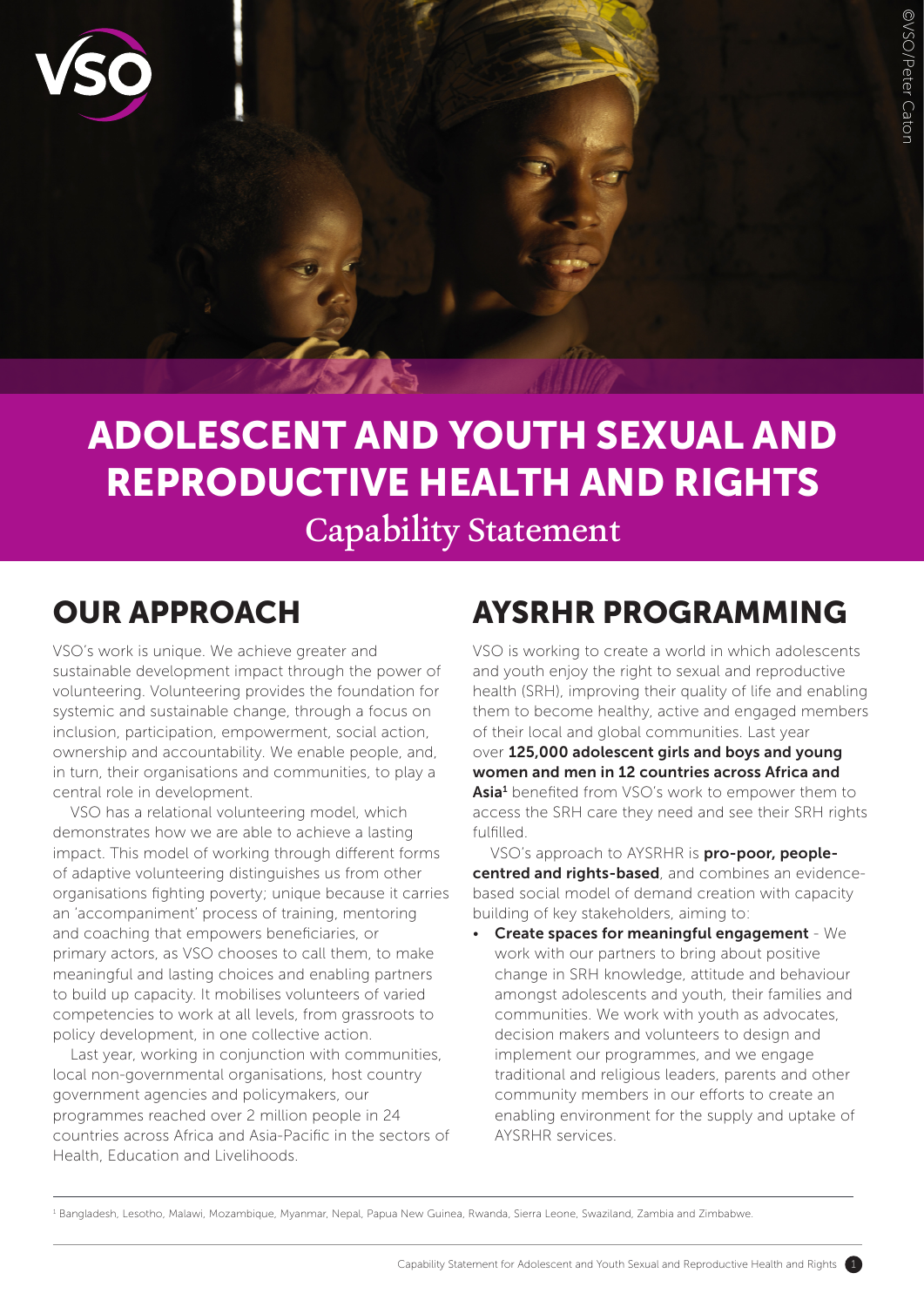

# ADOLESCENT AND YOUTH SEXUAL AND REPRODUCTIVE HEALTH AND RIGHTS

### Capability Statement

### OUR APPROACH

VSO's work is unique. We achieve greater and sustainable development impact through the power of volunteering. Volunteering provides the foundation for systemic and sustainable change, through a focus on inclusion, participation, empowerment, social action, ownership and accountability. We enable people, and, in turn, their organisations and communities, to play a central role in development.

VSO has a relational volunteering model, which demonstrates how we are able to achieve a lasting impact. This model of working through different forms of adaptive volunteering distinguishes us from other organisations fighting poverty; unique because it carries an 'accompaniment' process of training, mentoring and coaching that empowers beneficiaries, or primary actors, as VSO chooses to call them, to make meaningful and lasting choices and enabling partners to build up capacity. It mobilises volunteers of varied competencies to work at all levels, from grassroots to policy development, in one collective action.

Last year, working in conjunction with communities, local non-governmental organisations, host country government agencies and policymakers, our programmes reached over 2 million people in 24 countries across Africa and Asia-Pacific in the sectors of Health, Education and Livelihoods.

## AYSRHR PROGRAMMING

VSO is working to create a world in which adolescents and youth enjoy the right to sexual and reproductive health (SRH), improving their quality of life and enabling them to become healthy, active and engaged members of their local and global communities. Last year over 125,000 adolescent girls and boys and young women and men in 12 countries across Africa and Asia<sup>1</sup> benefited from VSO's work to empower them to access the SRH care they need and see their SRH rights fulfilled.

VSO's approach to AYSRHR is **pro-poor, people**centred and rights-based, and combines an evidencebased social model of demand creation with capacity building of key stakeholders, aiming to:

 $\cdot$  Create spaces for meaningful engagement - We work with our partners to bring about positive change in SRH knowledge, attitude and behaviour amongst adolescents and youth, their families and communities. We work with youth as advocates, decision makers and volunteers to design and implement our programmes, and we engage traditional and religious leaders, parents and other community members in our efforts to create an enabling environment for the supply and uptake of AYSRHR services.

<sup>1</sup> Bangladesh, Lesotho, Malawi, Mozambique, Myanmar, Nepal, Papua New Guinea, Rwanda, Sierra Leone, Swaziland, Zambia and Zimbabwe.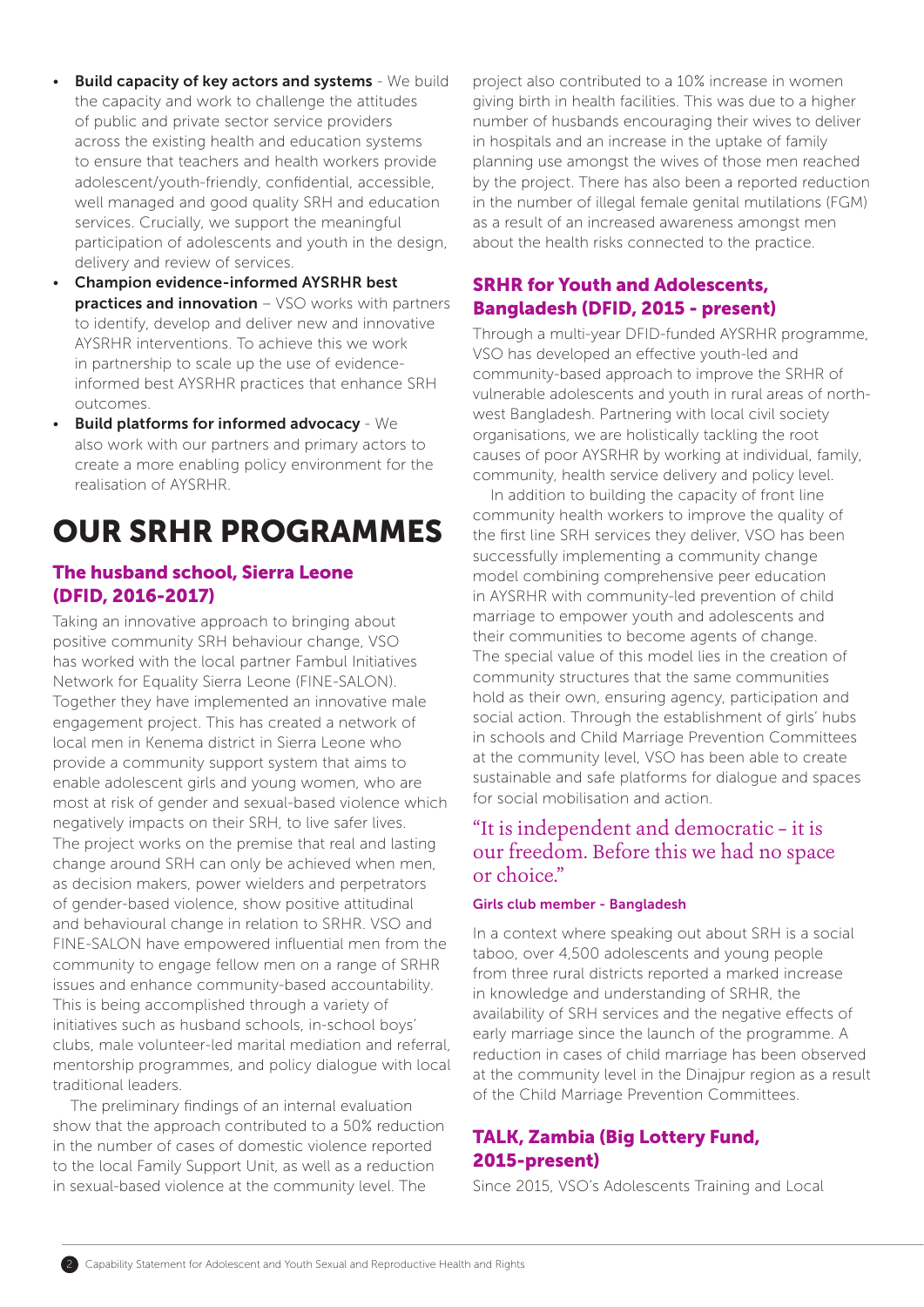- Build capacity of key actors and systems We build the capacity and work to challenge the attitudes of public and private sector service providers across the existing health and education systems to ensure that teachers and health workers provide adolescent/youth-friendly, confidential, accessible, well managed and good quality SRH and education services. Crucially, we support the meaningful participation of adolescents and youth in the design, delivery and review of services.
- • Champion evidence-informed AYSRHR best practices and innovation – VSO works with partners to identify, develop and deliver new and innovative AYSRHR interventions. To achieve this we work in partnership to scale up the use of evidenceinformed best AYSRHR practices that enhance SRH outcomes.
- • Build platforms for informed advocacy We also work with our partners and primary actors to create a more enabling policy environment for the realisation of AYSRHR.

### OUR SRHR PROGRAMMES

#### The husband school, Sierra Leone (DFID, 2016-2017)

Taking an innovative approach to bringing about positive community SRH behaviour change, VSO has worked with the local partner Fambul Initiatives Network for Equality Sierra Leone (FINE-SALON). Together they have implemented an innovative male engagement project. This has created a network of local men in Kenema district in Sierra Leone who provide a community support system that aims to enable adolescent girls and young women, who are most at risk of gender and sexual-based violence which negatively impacts on their SRH, to live safer lives. The project works on the premise that real and lasting change around SRH can only be achieved when men, as decision makers, power wielders and perpetrators of gender-based violence, show positive attitudinal and behavioural change in relation to SRHR. VSO and FINE-SALON have empowered influential men from the community to engage fellow men on a range of SRHR issues and enhance community-based accountability. This is being accomplished through a variety of initiatives such as husband schools, in-school boys' clubs, male volunteer-led marital mediation and referral, mentorship programmes, and policy dialogue with local traditional leaders.

The preliminary findings of an internal evaluation show that the approach contributed to a 50% reduction in the number of cases of domestic violence reported to the local Family Support Unit, as well as a reduction in sexual-based violence at the community level. The

project also contributed to a 10% increase in women giving birth in health facilities. This was due to a higher number of husbands encouraging their wives to deliver in hospitals and an increase in the uptake of family planning use amongst the wives of those men reached by the project. There has also been a reported reduction in the number of illegal female genital mutilations (FGM) as a result of an increased awareness amongst men about the health risks connected to the practice.

#### SRHR for Youth and Adolescents, Bangladesh (DFID, 2015 - present)

Through a multi-year DFID-funded AYSRHR programme, VSO has developed an effective youth-led and community-based approach to improve the SRHR of vulnerable adolescents and youth in rural areas of northwest Bangladesh. Partnering with local civil society organisations, we are holistically tackling the root causes of poor AYSRHR by working at individual, family, community, health service delivery and policy level.

In addition to building the capacity of front line community health workers to improve the quality of the first line SRH services they deliver, VSO has been successfully implementing a community change model combining comprehensive peer education in AYSRHR with community-led prevention of child marriage to empower youth and adolescents and their communities to become agents of change. The special value of this model lies in the creation of community structures that the same communities hold as their own, ensuring agency, participation and social action. Through the establishment of girls' hubs in schools and Child Marriage Prevention Committees at the community level, VSO has been able to create sustainable and safe platforms for dialogue and spaces for social mobilisation and action.

#### "It is independent and democratic – it is our freedom. Before this we had no space or choice."

#### Girls club member - Bangladesh

In a context where speaking out about SRH is a social taboo, over 4,500 adolescents and young people from three rural districts reported a marked increase in knowledge and understanding of SRHR, the availability of SRH services and the negative effects of early marriage since the launch of the programme. A reduction in cases of child marriage has been observed at the community level in the Dinajpur region as a result of the Child Marriage Prevention Committees.

#### TALK, Zambia (Big Lottery Fund, 2015-present)

Since 2015, VSO's Adolescents Training and Local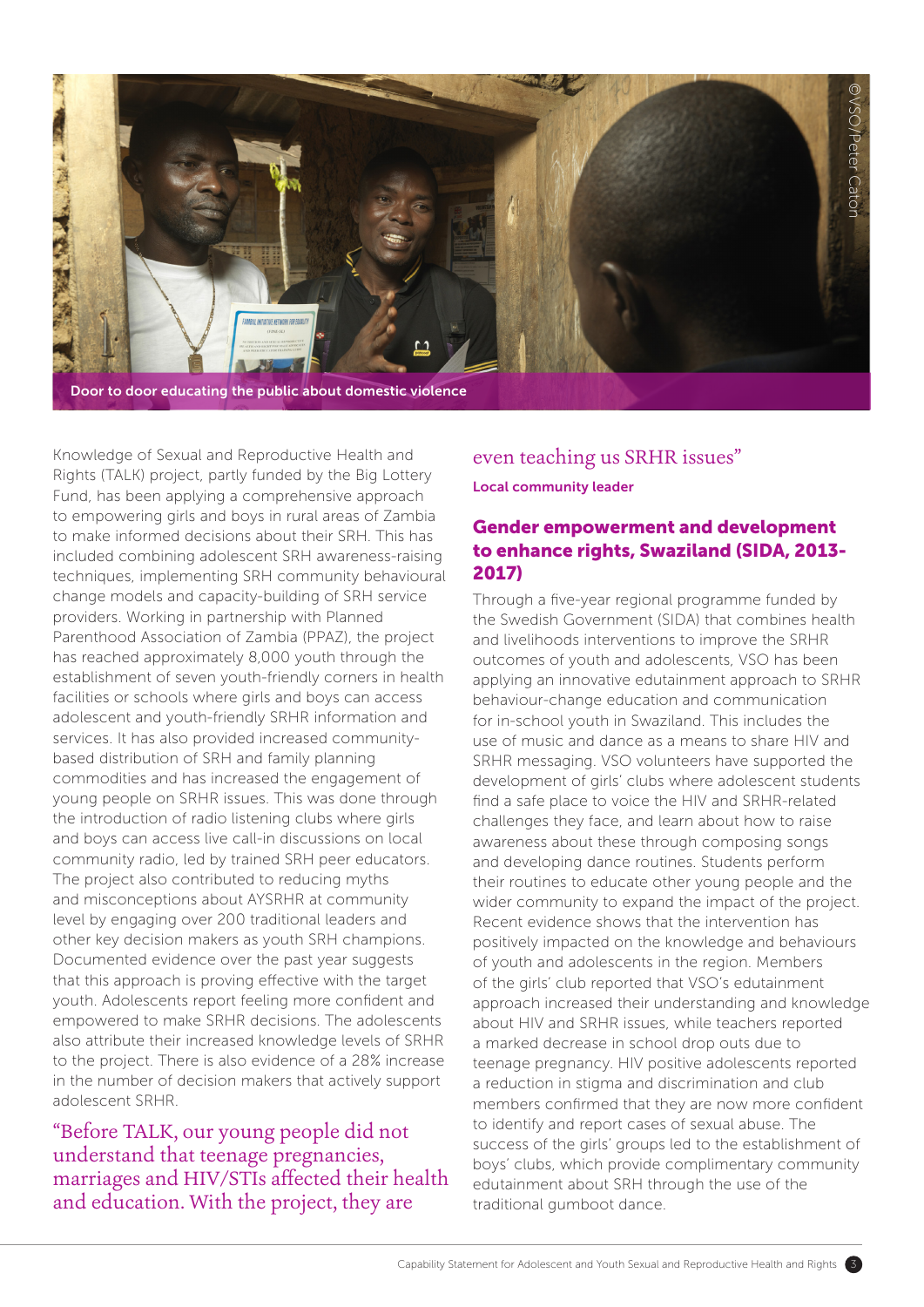

Knowledge of Sexual and Reproductive Health and Rights (TALK) project, partly funded by the Big Lottery Fund, has been applying a comprehensive approach to empowering girls and boys in rural areas of Zambia to make informed decisions about their SRH. This has included combining adolescent SRH awareness-raising techniques, implementing SRH community behavioural change models and capacity-building of SRH service providers. Working in partnership with Planned Parenthood Association of Zambia (PPAZ), the project has reached approximately 8,000 youth through the establishment of seven youth-friendly corners in health facilities or schools where girls and boys can access adolescent and youth-friendly SRHR information and services. It has also provided increased communitybased distribution of SRH and family planning commodities and has increased the engagement of young people on SRHR issues. This was done through the introduction of radio listening clubs where girls and boys can access live call-in discussions on local community radio, led by trained SRH peer educators. The project also contributed to reducing myths and misconceptions about AYSRHR at community level by engaging over 200 traditional leaders and other key decision makers as youth SRH champions. Documented evidence over the past year suggests that this approach is proving effective with the target youth. Adolescents report feeling more confident and empowered to make SRHR decisions. The adolescents also attribute their increased knowledge levels of SRHR to the project. There is also evidence of a 28% increase in the number of decision makers that actively support adolescent SRHR.

"Before TALK, our young people did not understand that teenage pregnancies, marriages and HIV/STIs affected their health and education. With the project, they are

even teaching us SRHR issues" Local community leader

#### Gender empowerment and development to enhance rights, Swaziland (SIDA, 2013- 2017)

Through a five-year regional programme funded by the Swedish Government (SIDA) that combines health and livelihoods interventions to improve the SRHR outcomes of youth and adolescents, VSO has been applying an innovative edutainment approach to SRHR behaviour-change education and communication for in-school youth in Swaziland. This includes the use of music and dance as a means to share HIV and SRHR messaging. VSO volunteers have supported the development of girls' clubs where adolescent students find a safe place to voice the HIV and SRHR-related challenges they face, and learn about how to raise awareness about these through composing songs and developing dance routines. Students perform their routines to educate other young people and the wider community to expand the impact of the project. Recent evidence shows that the intervention has positively impacted on the knowledge and behaviours of youth and adolescents in the region. Members of the girls' club reported that VSO's edutainment approach increased their understanding and knowledge about HIV and SRHR issues, while teachers reported a marked decrease in school drop outs due to teenage pregnancy. HIV positive adolescents reported a reduction in stigma and discrimination and club members confirmed that they are now more confident to identify and report cases of sexual abuse. The success of the girls' groups led to the establishment of boys' clubs, which provide complimentary community edutainment about SRH through the use of the traditional gumboot dance.